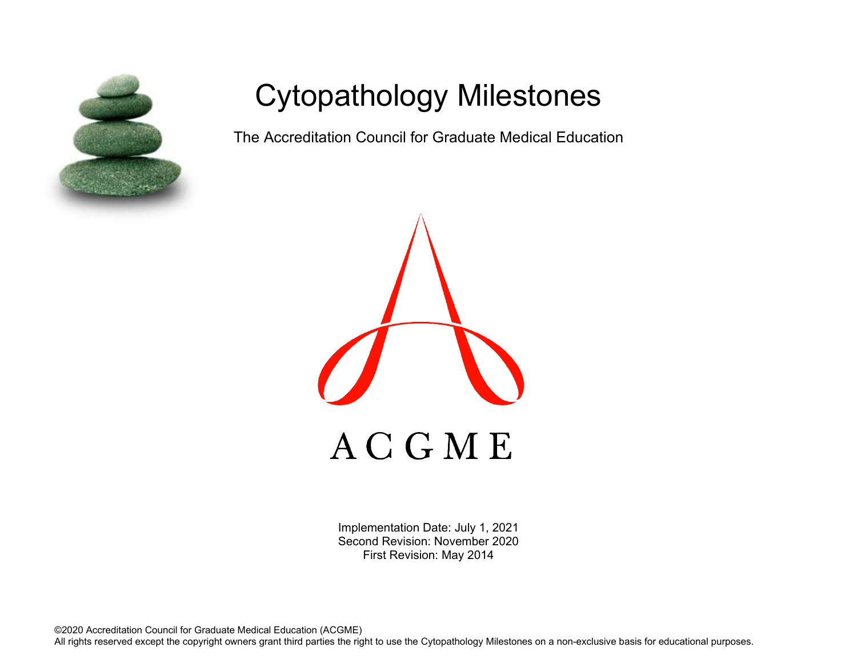

# Cytopathology Milestones

The Accreditation Council for Graduate Medical Education



Implementation Date: July 1, 2021 Second Revision: November 2020 First Revision: May 2014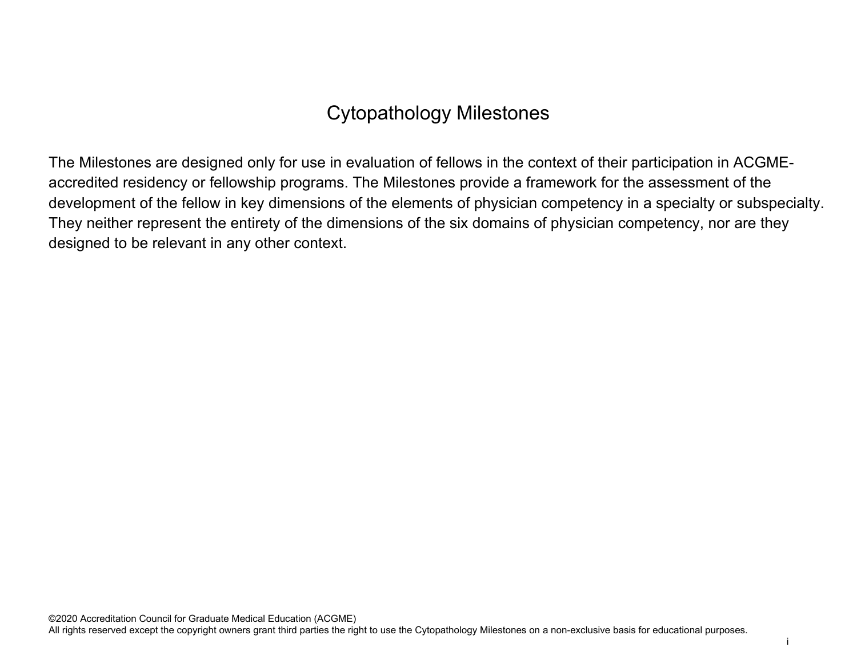## Cytopathology Milestones

The Milestones are designed only for use in evaluation of fellows in the context of their participation in ACGMEaccredited residency or fellowship programs. The Milestones provide a framework for the assessment of the development of the fellow in key dimensions of the elements of physician competency in a specialty or subspecialty. They neither represent the entirety of the dimensions of the six domains of physician competency, nor are they designed to be relevant in any other context.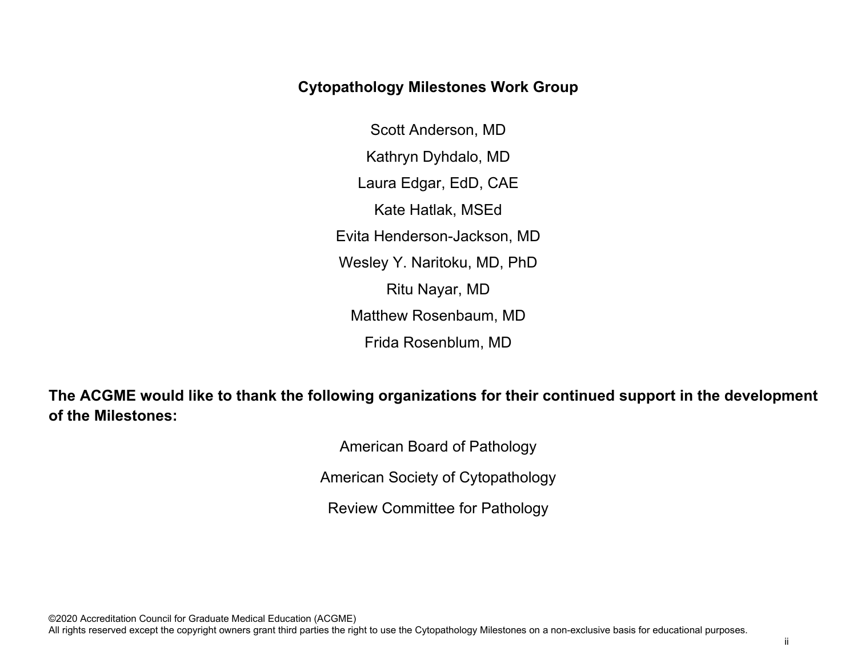### **Cytopathology Milestones Work Group**

Scott Anderson, MD Kathryn Dyhdalo, MD Laura Edgar, EdD, CAE Kate Hatlak, MSEd Evita Henderson-Jackson, MD Wesley Y. Naritoku, MD, PhD Ritu Nayar, MD Matthew Rosenbaum, MD Frida Rosenblum, MD

**The ACGME would like to thank the following organizations for their continued support in the development of the Milestones:**

American Board of Pathology

American Society of Cytopathology

Review Committee for Pathology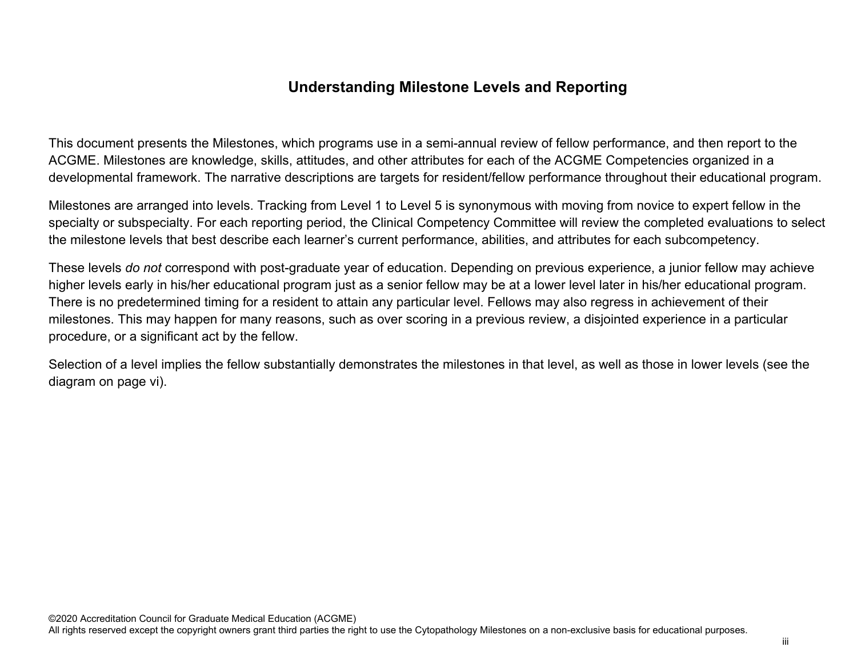### **Understanding Milestone Levels and Reporting**

This document presents the Milestones, which programs use in a semi-annual review of fellow performance, and then report to the ACGME. Milestones are knowledge, skills, attitudes, and other attributes for each of the ACGME Competencies organized in a developmental framework. The narrative descriptions are targets for resident/fellow performance throughout their educational program.

Milestones are arranged into levels. Tracking from Level 1 to Level 5 is synonymous with moving from novice to expert fellow in the specialty or subspecialty. For each reporting period, the Clinical Competency Committee will review the completed evaluations to select the milestone levels that best describe each learner's current performance, abilities, and attributes for each subcompetency.

These levels *do not* correspond with post-graduate year of education. Depending on previous experience, a junior fellow may achieve higher levels early in his/her educational program just as a senior fellow may be at a lower level later in his/her educational program. There is no predetermined timing for a resident to attain any particular level. Fellows may also regress in achievement of their milestones. This may happen for many reasons, such as over scoring in a previous review, a disjointed experience in a particular procedure, or a significant act by the fellow.

Selection of a level implies the fellow substantially demonstrates the milestones in that level, as well as those in lower levels (see the diagram on page vi).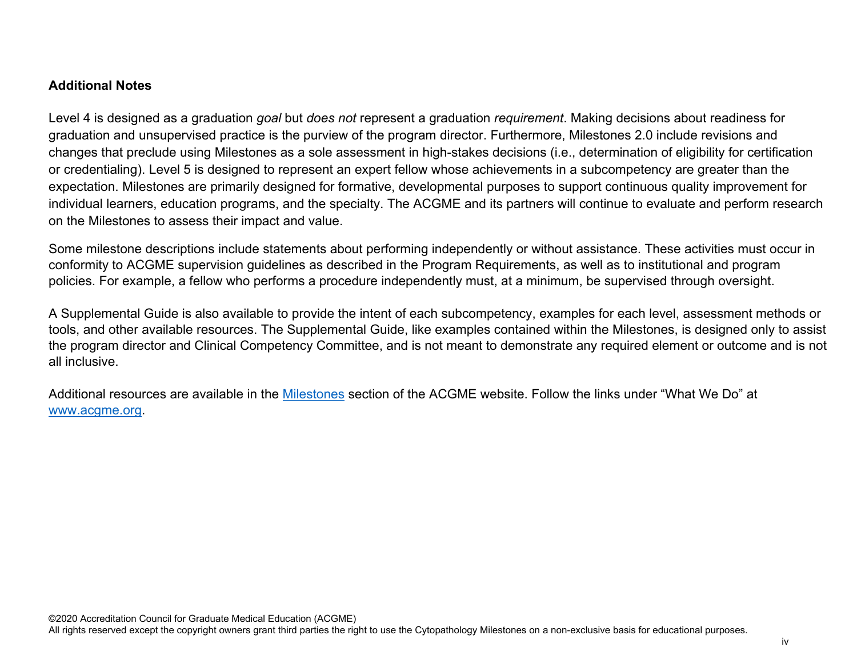#### **Additional Notes**

Level 4 is designed as a graduation *goal* but *does not* represent a graduation *requirement*. Making decisions about readiness for graduation and unsupervised practice is the purview of the program director. Furthermore, Milestones 2.0 include revisions and changes that preclude using Milestones as a sole assessment in high-stakes decisions (i.e., determination of eligibility for certification or credentialing). Level 5 is designed to represent an expert fellow whose achievements in a subcompetency are greater than the expectation. Milestones are primarily designed for formative, developmental purposes to support continuous quality improvement for individual learners, education programs, and the specialty. The ACGME and its partners will continue to evaluate and perform research on the Milestones to assess their impact and value.

Some milestone descriptions include statements about performing independently or without assistance. These activities must occur in conformity to ACGME supervision guidelines as described in the Program Requirements, as well as to institutional and program policies. For example, a fellow who performs a procedure independently must, at a minimum, be supervised through oversight.

A Supplemental Guide is also available to provide the intent of each subcompetency, examples for each level, assessment methods or tools, and other available resources. The Supplemental Guide, like examples contained within the Milestones, is designed only to assist the program director and Clinical Competency Committee, and is not meant to demonstrate any required element or outcome and is not all inclusive.

Additional resources are available in the [Milestones](http://www.acgme.org/What-We-Do/Accreditation/Milestones/Overview) section of the ACGME website. Follow the links under "What We Do" at [www.acgme.org.](http://www.acgme.org/)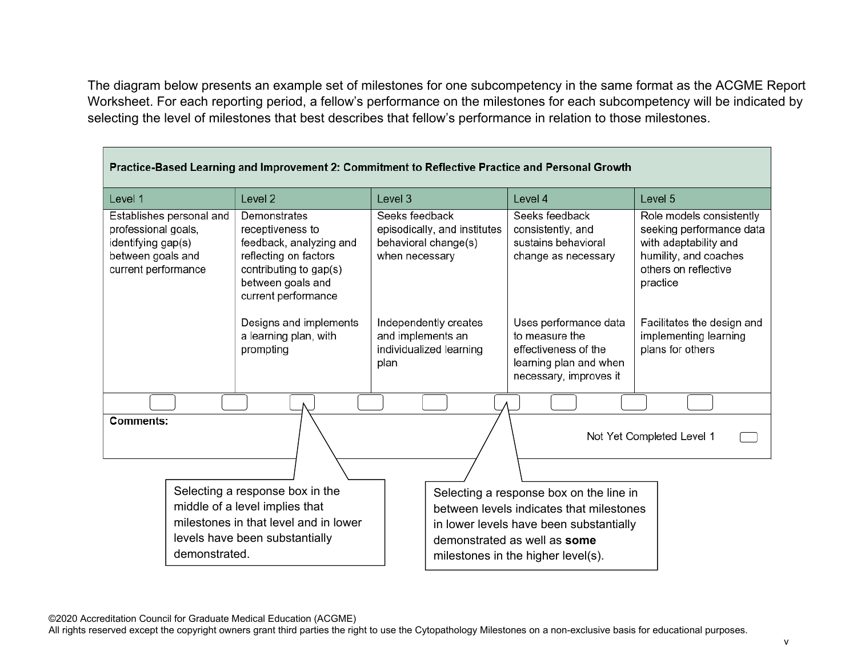The diagram below presents an example set of milestones for one subcompetency in the same format as the ACGME Report Worksheet. For each reporting period, a fellow's performance on the milestones for each subcompetency will be indicated by selecting the level of milestones that best describes that fellow's performance in relation to those milestones.

| Practice-Based Learning and Improvement 2: Commitment to Reflective Practice and Personal Growth                  |               |                                                                                                                                                            |                                  |                                                      |                                                                                                                                                                                                      |                                                                                                                                            |
|-------------------------------------------------------------------------------------------------------------------|---------------|------------------------------------------------------------------------------------------------------------------------------------------------------------|----------------------------------|------------------------------------------------------|------------------------------------------------------------------------------------------------------------------------------------------------------------------------------------------------------|--------------------------------------------------------------------------------------------------------------------------------------------|
| Level 1                                                                                                           |               | Level <sub>2</sub>                                                                                                                                         | Level 3                          |                                                      | Level 4                                                                                                                                                                                              | Level 5                                                                                                                                    |
| Establishes personal and<br>professional goals,<br>identifying gap(s)<br>between goals and<br>current performance |               | Demonstrates<br>receptiveness to<br>feedback, analyzing and<br>reflecting on factors<br>contributing to gap(s)<br>between goals and<br>current performance | Seeks feedback<br>when necessary | episodically, and institutes<br>behavioral change(s) | Seeks feedback<br>consistently, and<br>sustains behavioral<br>change as necessary                                                                                                                    | Role models consistently<br>seeking performance data<br>with adaptability and<br>humility, and coaches<br>others on reflective<br>practice |
|                                                                                                                   |               | Designs and implements<br>a learning plan, with<br>prompting                                                                                               | and implements an<br>plan        | Independently creates<br>individualized learning     | Uses performance data<br>to measure the<br>effectiveness of the<br>learning plan and when<br>necessary, improves it                                                                                  | Facilitates the design and<br>implementing learning<br>plans for others                                                                    |
|                                                                                                                   |               |                                                                                                                                                            |                                  |                                                      |                                                                                                                                                                                                      |                                                                                                                                            |
| <b>Comments:</b>                                                                                                  |               |                                                                                                                                                            |                                  |                                                      |                                                                                                                                                                                                      | Not Yet Completed Level 1                                                                                                                  |
|                                                                                                                   | demonstrated. | Selecting a response box in the<br>middle of a level implies that<br>milestones in that level and in lower<br>levels have been substantially               |                                  |                                                      | Selecting a response box on the line in<br>between levels indicates that milestones<br>in lower levels have been substantially<br>demonstrated as well as some<br>milestones in the higher level(s). |                                                                                                                                            |

©2020 Accreditation Council for Graduate Medical Education (ACGME)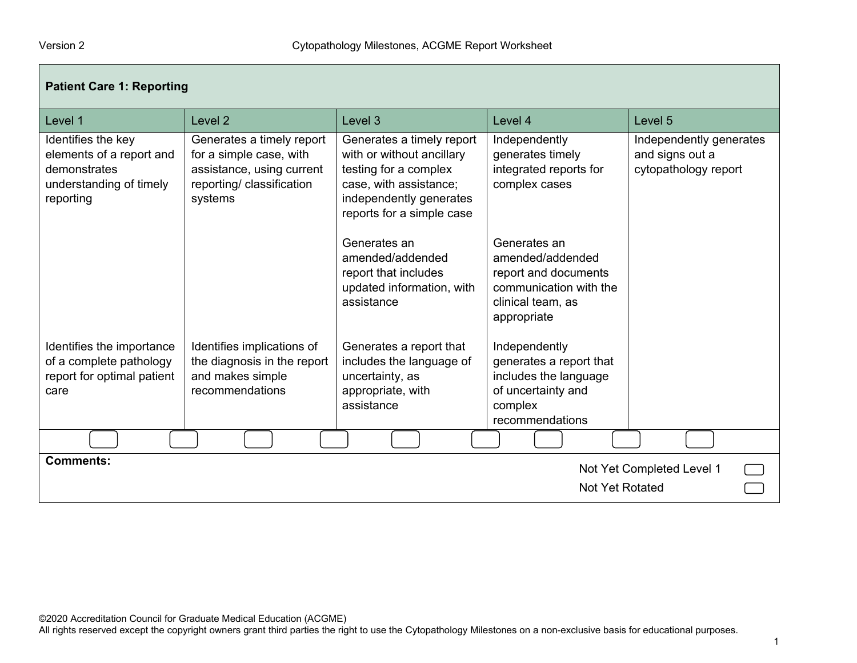Г

| <b>Patient Care 1: Reporting</b>                                                                       |                                                                                                                           |                                                                                                                                                                   |                                                                                                                        |                                                                    |  |
|--------------------------------------------------------------------------------------------------------|---------------------------------------------------------------------------------------------------------------------------|-------------------------------------------------------------------------------------------------------------------------------------------------------------------|------------------------------------------------------------------------------------------------------------------------|--------------------------------------------------------------------|--|
| Level 1                                                                                                | Level 2                                                                                                                   | Level 3                                                                                                                                                           | Level 4                                                                                                                | Level 5                                                            |  |
| Identifies the key<br>elements of a report and<br>demonstrates<br>understanding of timely<br>reporting | Generates a timely report<br>for a simple case, with<br>assistance, using current<br>reporting/ classification<br>systems | Generates a timely report<br>with or without ancillary<br>testing for a complex<br>case, with assistance;<br>independently generates<br>reports for a simple case | Independently<br>generates timely<br>integrated reports for<br>complex cases                                           | Independently generates<br>and signs out a<br>cytopathology report |  |
|                                                                                                        |                                                                                                                           | Generates an<br>amended/addended<br>report that includes<br>updated information, with<br>assistance                                                               | Generates an<br>amended/addended<br>report and documents<br>communication with the<br>clinical team, as<br>appropriate |                                                                    |  |
| Identifies the importance<br>of a complete pathology<br>report for optimal patient<br>care             | Identifies implications of<br>the diagnosis in the report<br>and makes simple<br>recommendations                          | Generates a report that<br>includes the language of<br>uncertainty, as<br>appropriate, with<br>assistance                                                         | Independently<br>generates a report that<br>includes the language<br>of uncertainty and<br>complex<br>recommendations  |                                                                    |  |
|                                                                                                        |                                                                                                                           |                                                                                                                                                                   |                                                                                                                        |                                                                    |  |
| <b>Comments:</b><br>Not Yet Completed Level 1<br><b>Not Yet Rotated</b>                                |                                                                                                                           |                                                                                                                                                                   |                                                                                                                        |                                                                    |  |

©2020 Accreditation Council for Graduate Medical Education (ACGME)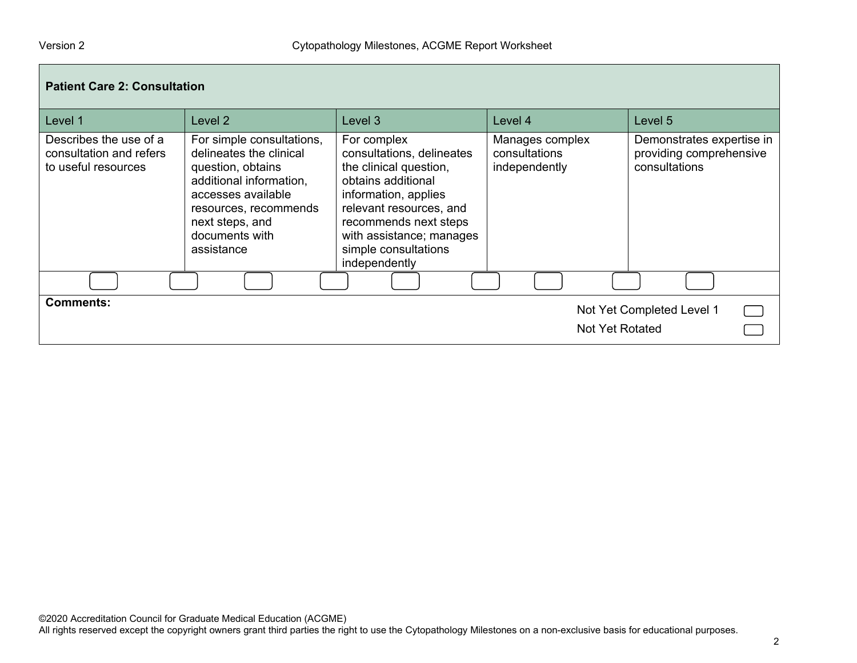| <b>Patient Care 2: Consultation</b>                                      |                                                                                                                                                                                                        |                                                                                                                                                                                                                                           |                                                   |                                                                       |  |
|--------------------------------------------------------------------------|--------------------------------------------------------------------------------------------------------------------------------------------------------------------------------------------------------|-------------------------------------------------------------------------------------------------------------------------------------------------------------------------------------------------------------------------------------------|---------------------------------------------------|-----------------------------------------------------------------------|--|
| Level 1                                                                  | Level 2                                                                                                                                                                                                | Level 3                                                                                                                                                                                                                                   | Level 4                                           | Level 5                                                               |  |
| Describes the use of a<br>consultation and refers<br>to useful resources | For simple consultations,<br>delineates the clinical<br>question, obtains<br>additional information,<br>accesses available<br>resources, recommends<br>next steps, and<br>documents with<br>assistance | For complex<br>consultations, delineates<br>the clinical question,<br>obtains additional<br>information, applies<br>relevant resources, and<br>recommends next steps<br>with assistance; manages<br>simple consultations<br>independently | Manages complex<br>consultations<br>independently | Demonstrates expertise in<br>providing comprehensive<br>consultations |  |
|                                                                          |                                                                                                                                                                                                        |                                                                                                                                                                                                                                           |                                                   |                                                                       |  |
| <b>Comments:</b>                                                         |                                                                                                                                                                                                        |                                                                                                                                                                                                                                           | Not Yet Rotated                                   | Not Yet Completed Level 1                                             |  |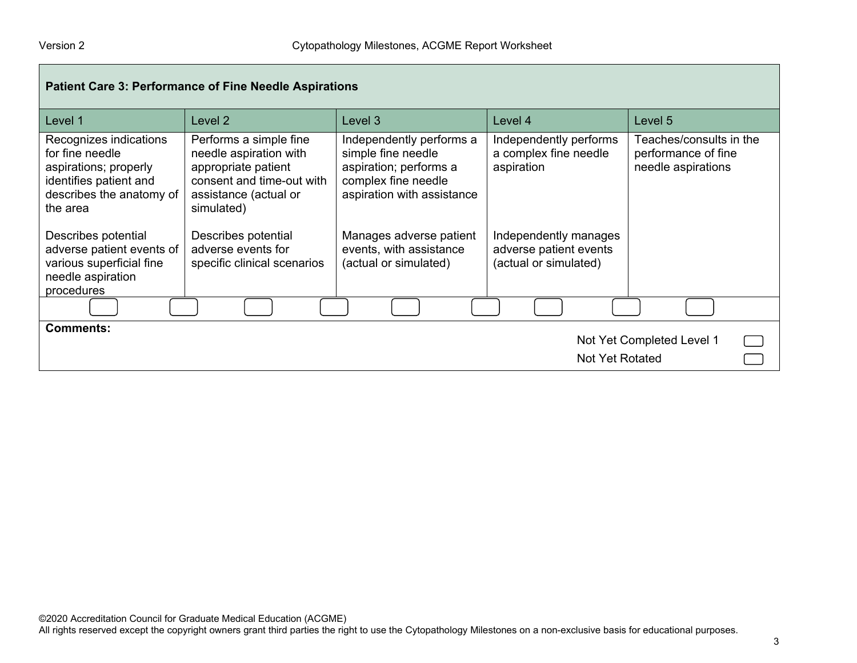| <b>Patient Care 3: Performance of Fine Needle Aspirations</b>                                                                        |                                                                                                                                             |                                                                                                                               |                                                                          |                                                                      |  |
|--------------------------------------------------------------------------------------------------------------------------------------|---------------------------------------------------------------------------------------------------------------------------------------------|-------------------------------------------------------------------------------------------------------------------------------|--------------------------------------------------------------------------|----------------------------------------------------------------------|--|
| Level 1                                                                                                                              | Level 2                                                                                                                                     | Level 3                                                                                                                       | Level 4                                                                  | Level 5                                                              |  |
| Recognizes indications<br>for fine needle<br>aspirations; properly<br>identifies patient and<br>describes the anatomy of<br>the area | Performs a simple fine<br>needle aspiration with<br>appropriate patient<br>consent and time-out with<br>assistance (actual or<br>simulated) | Independently performs a<br>simple fine needle<br>aspiration; performs a<br>complex fine needle<br>aspiration with assistance | Independently performs<br>a complex fine needle<br>aspiration            | Teaches/consults in the<br>performance of fine<br>needle aspirations |  |
| Describes potential<br>adverse patient events of<br>various superficial fine<br>needle aspiration<br>procedures                      | Describes potential<br>adverse events for<br>specific clinical scenarios                                                                    | Manages adverse patient<br>events, with assistance<br>(actual or simulated)                                                   | Independently manages<br>adverse patient events<br>(actual or simulated) |                                                                      |  |
|                                                                                                                                      |                                                                                                                                             |                                                                                                                               |                                                                          |                                                                      |  |
| <b>Comments:</b><br>Not Yet Completed Level 1<br>Not Yet Rotated                                                                     |                                                                                                                                             |                                                                                                                               |                                                                          |                                                                      |  |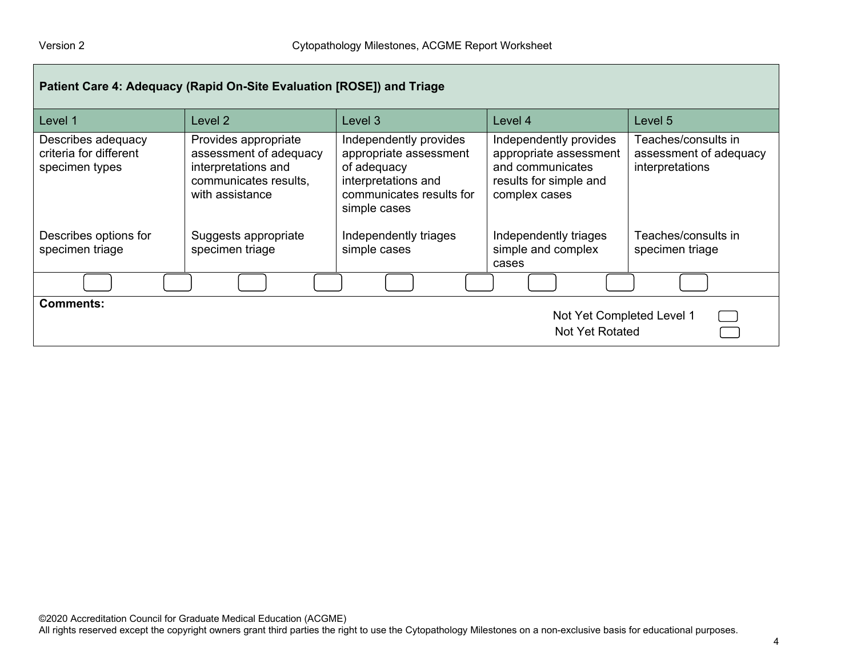| Patient Care 4: Adequacy (Rapid On-Site Evaluation [ROSE]) and Triage |                                                                                                                   |                                                                                                                                    |                                                                                                                 |                                                                    |  |
|-----------------------------------------------------------------------|-------------------------------------------------------------------------------------------------------------------|------------------------------------------------------------------------------------------------------------------------------------|-----------------------------------------------------------------------------------------------------------------|--------------------------------------------------------------------|--|
| Level 1                                                               | Level 2                                                                                                           | Level 3                                                                                                                            | Level 4                                                                                                         | Level 5                                                            |  |
| Describes adequacy<br>criteria for different<br>specimen types        | Provides appropriate<br>assessment of adequacy<br>interpretations and<br>communicates results,<br>with assistance | Independently provides<br>appropriate assessment<br>of adequacy<br>interpretations and<br>communicates results for<br>simple cases | Independently provides<br>appropriate assessment<br>and communicates<br>results for simple and<br>complex cases | Teaches/consults in l<br>assessment of adequacy<br>interpretations |  |
| Describes options for<br>specimen triage                              | Suggests appropriate<br>specimen triage                                                                           | Independently triages<br>simple cases                                                                                              | Independently triages<br>simple and complex<br>cases                                                            | Teaches/consults in<br>specimen triage                             |  |
|                                                                       |                                                                                                                   |                                                                                                                                    |                                                                                                                 |                                                                    |  |
| <b>Comments:</b><br>Not Yet Completed Level 1<br>Not Yet Rotated      |                                                                                                                   |                                                                                                                                    |                                                                                                                 |                                                                    |  |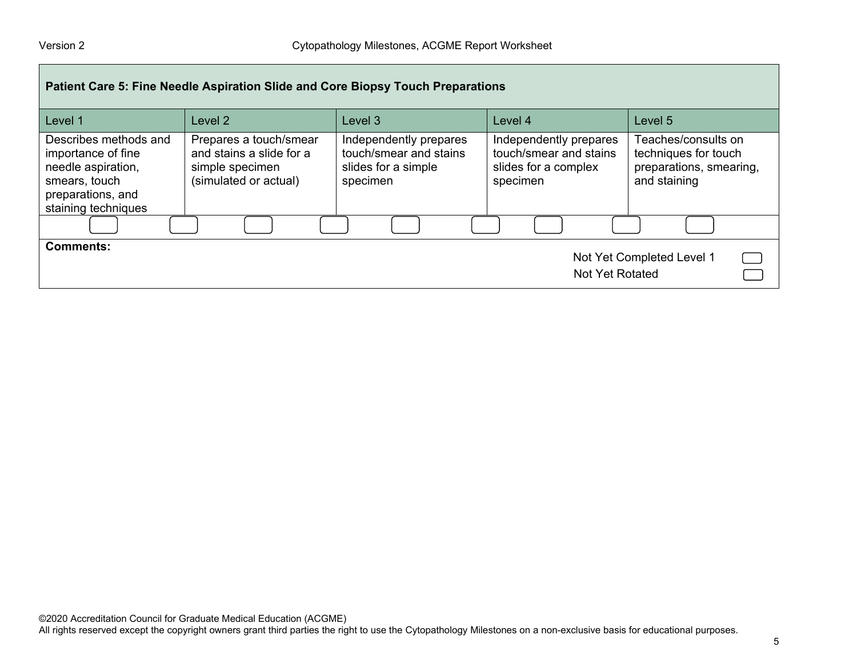| Patient Care 5: Fine Needle Aspiration Slide and Core Biopsy Touch Preparations                                                |                                                                                                |                                                                                     |                                                                                      |                                                                                        |  |  |
|--------------------------------------------------------------------------------------------------------------------------------|------------------------------------------------------------------------------------------------|-------------------------------------------------------------------------------------|--------------------------------------------------------------------------------------|----------------------------------------------------------------------------------------|--|--|
| Level 1                                                                                                                        | Level 2                                                                                        | Level 3                                                                             | Level 4                                                                              | Level 5                                                                                |  |  |
| Describes methods and<br>importance of fine<br>needle aspiration,<br>smears, touch<br>preparations, and<br>staining techniques | Prepares a touch/smear<br>and stains a slide for a<br>simple specimen<br>(simulated or actual) | Independently prepares<br>touch/smear and stains<br>slides for a simple<br>specimen | Independently prepares<br>touch/smear and stains<br>slides for a complex<br>specimen | Teaches/consults on<br>techniques for touch<br>preparations, smearing,<br>and staining |  |  |
|                                                                                                                                |                                                                                                |                                                                                     |                                                                                      |                                                                                        |  |  |
| <b>Comments:</b><br>Not Yet Completed Level 1<br>Not Yet Rotated                                                               |                                                                                                |                                                                                     |                                                                                      |                                                                                        |  |  |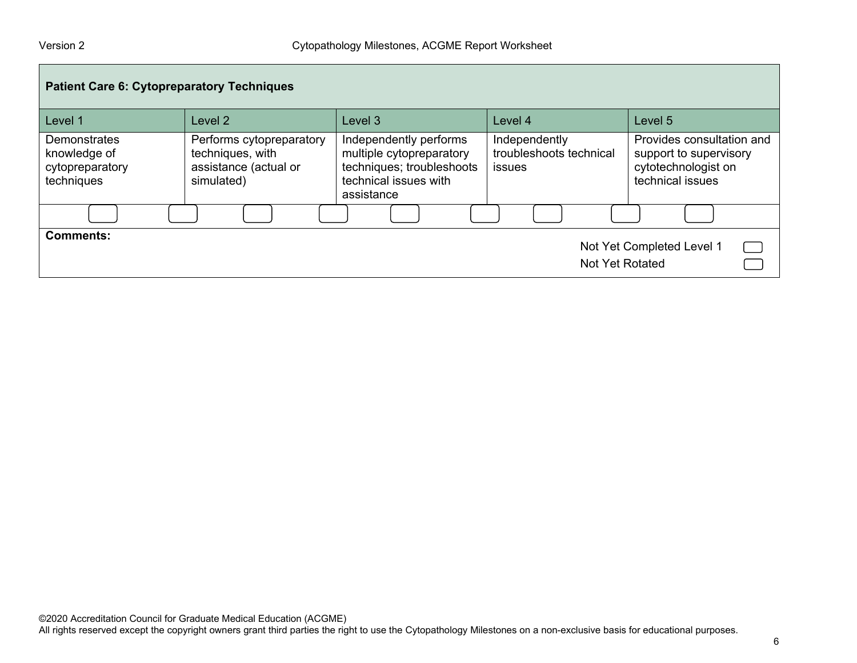| <b>Patient Care 6: Cytopreparatory Techniques</b>                       |                                                                                     |                                                                                                                        |                                                           |                                                                                                |  |  |
|-------------------------------------------------------------------------|-------------------------------------------------------------------------------------|------------------------------------------------------------------------------------------------------------------------|-----------------------------------------------------------|------------------------------------------------------------------------------------------------|--|--|
| Level 1                                                                 | Level 2                                                                             | Level 3                                                                                                                | Level 4                                                   | Level 5                                                                                        |  |  |
| <b>Demonstrates</b><br>knowledge of<br>cytopreparatory<br>techniques    | Performs cytopreparatory<br>techniques, with<br>assistance (actual or<br>simulated) | Independently performs<br>multiple cytopreparatory<br>techniques; troubleshoots<br>technical issues with<br>assistance | Independently<br>troubleshoots technical<br><i>issues</i> | Provides consultation and<br>support to supervisory<br>cytotechnologist on<br>technical issues |  |  |
|                                                                         |                                                                                     |                                                                                                                        |                                                           |                                                                                                |  |  |
| <b>Comments:</b><br>Not Yet Completed Level 1<br><b>Not Yet Rotated</b> |                                                                                     |                                                                                                                        |                                                           |                                                                                                |  |  |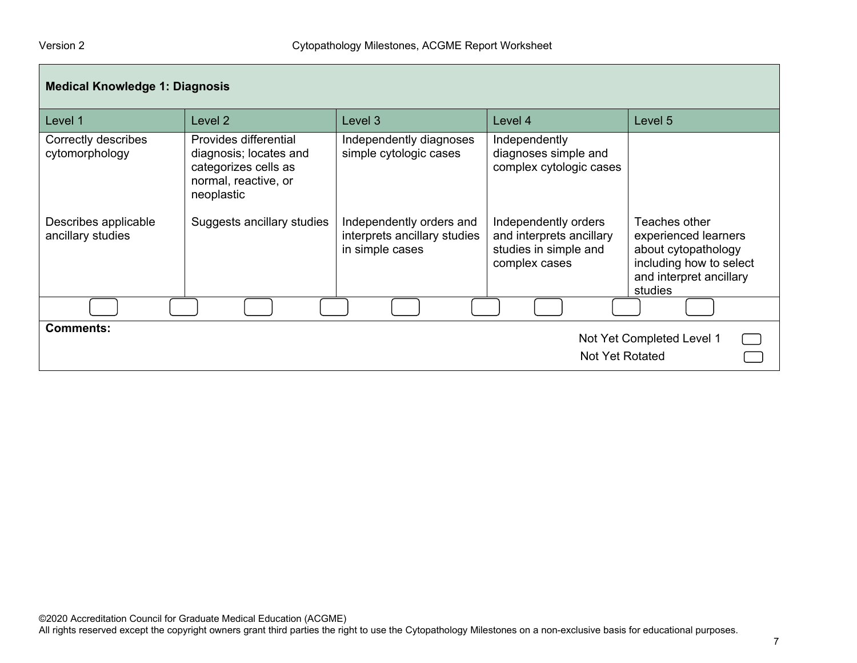| <b>Medical Knowledge 1: Diagnosis</b>     |                                                                                                               |                                                                             |                                                                                            |                                                                                                                               |  |
|-------------------------------------------|---------------------------------------------------------------------------------------------------------------|-----------------------------------------------------------------------------|--------------------------------------------------------------------------------------------|-------------------------------------------------------------------------------------------------------------------------------|--|
| Level 1                                   | Level 2                                                                                                       | Level 3                                                                     | Level 4                                                                                    | Level 5                                                                                                                       |  |
| Correctly describes<br>cytomorphology     | Provides differential<br>diagnosis; locates and<br>categorizes cells as<br>normal, reactive, or<br>neoplastic | Independently diagnoses<br>simple cytologic cases                           | Independently<br>diagnoses simple and<br>complex cytologic cases                           |                                                                                                                               |  |
| Describes applicable<br>ancillary studies | Suggests ancillary studies                                                                                    | Independently orders and<br>interprets ancillary studies<br>in simple cases | Independently orders<br>and interprets ancillary<br>studies in simple and<br>complex cases | Teaches other<br>experienced learners<br>about cytopathology<br>including how to select<br>and interpret ancillary<br>studies |  |
|                                           |                                                                                                               |                                                                             |                                                                                            |                                                                                                                               |  |
| <b>Comments:</b>                          |                                                                                                               |                                                                             | <b>Not Yet Rotated</b>                                                                     | Not Yet Completed Level 1                                                                                                     |  |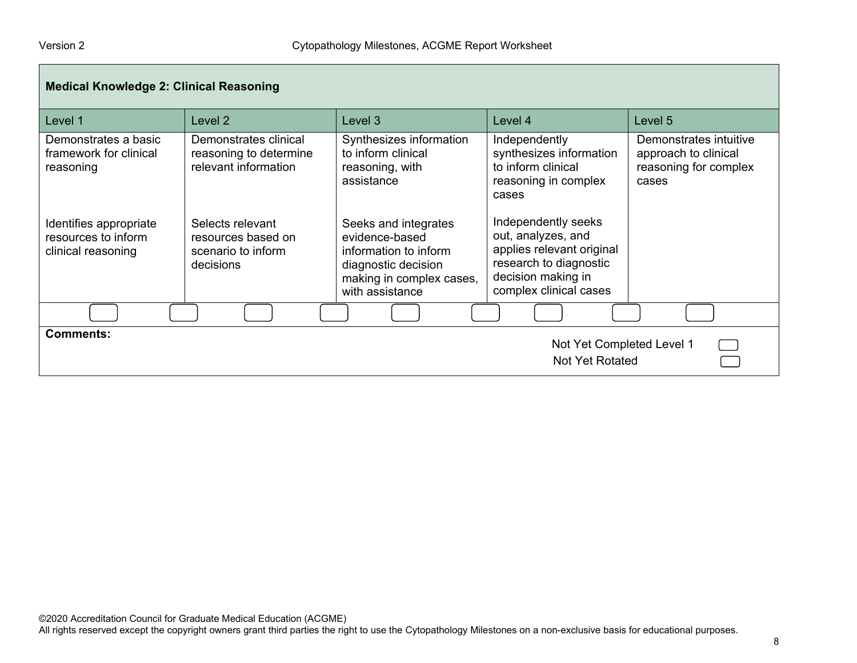| <b>Medical Knowledge 2: Clinical Reasoning</b>                      |                                                                           |                                                                                                                                       |                                                                                                                                                  |                                                                                  |  |
|---------------------------------------------------------------------|---------------------------------------------------------------------------|---------------------------------------------------------------------------------------------------------------------------------------|--------------------------------------------------------------------------------------------------------------------------------------------------|----------------------------------------------------------------------------------|--|
| Level 1                                                             | Level 2                                                                   | Level 3                                                                                                                               | Level 4                                                                                                                                          | Level 5                                                                          |  |
| Demonstrates a basic<br>framework for clinical<br>reasoning         | Demonstrates clinical<br>reasoning to determine<br>relevant information   | Synthesizes information<br>to inform clinical<br>reasoning, with<br>assistance                                                        | Independently<br>synthesizes information<br>to inform clinical<br>reasoning in complex<br>cases                                                  | Demonstrates intuitive<br>approach to clinical<br>reasoning for complex<br>cases |  |
| Identifies appropriate<br>resources to inform<br>clinical reasoning | Selects relevant<br>resources based on<br>scenario to inform<br>decisions | Seeks and integrates<br>evidence-based<br>information to inform<br>diagnostic decision<br>making in complex cases,<br>with assistance | Independently seeks<br>out, analyzes, and<br>applies relevant original<br>research to diagnostic<br>decision making in<br>complex clinical cases |                                                                                  |  |
|                                                                     |                                                                           |                                                                                                                                       |                                                                                                                                                  |                                                                                  |  |
| <b>Comments:</b>                                                    |                                                                           |                                                                                                                                       | Not Yet Completed Level 1<br><b>Not Yet Rotated</b>                                                                                              |                                                                                  |  |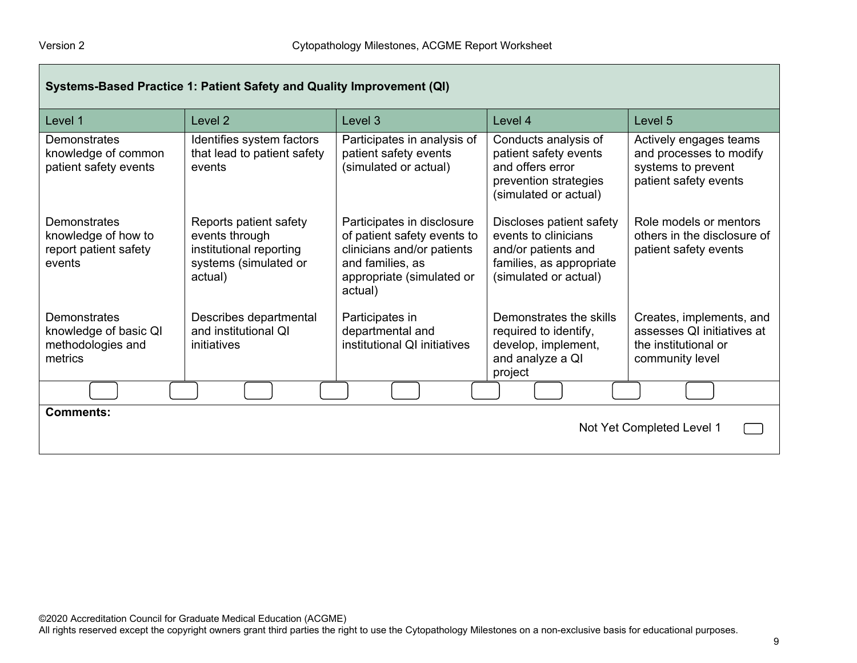| Systems-Based Practice 1: Patient Safety and Quality Improvement (QI)         |                                                                                                         |                                                                                                                                                     |                                                                                                                              |                                                                                                   |
|-------------------------------------------------------------------------------|---------------------------------------------------------------------------------------------------------|-----------------------------------------------------------------------------------------------------------------------------------------------------|------------------------------------------------------------------------------------------------------------------------------|---------------------------------------------------------------------------------------------------|
| Level 1                                                                       | Level <sub>2</sub>                                                                                      | Level <sub>3</sub>                                                                                                                                  | Level 4                                                                                                                      | Level 5                                                                                           |
| Demonstrates<br>knowledge of common<br>patient safety events                  | Identifies system factors<br>that lead to patient safety<br>events                                      | Participates in analysis of<br>patient safety events<br>(simulated or actual)                                                                       | Conducts analysis of<br>patient safety events<br>and offers error<br>prevention strategies<br>(simulated or actual)          | Actively engages teams<br>and processes to modify<br>systems to prevent<br>patient safety events  |
| <b>Demonstrates</b><br>knowledge of how to<br>report patient safety<br>events | Reports patient safety<br>events through<br>institutional reporting<br>systems (simulated or<br>actual) | Participates in disclosure<br>of patient safety events to<br>clinicians and/or patients<br>and families, as<br>appropriate (simulated or<br>actual) | Discloses patient safety<br>events to clinicians<br>and/or patients and<br>families, as appropriate<br>(simulated or actual) | Role models or mentors<br>others in the disclosure of<br>patient safety events                    |
| <b>Demonstrates</b><br>knowledge of basic QI<br>methodologies and<br>metrics  | Describes departmental<br>and institutional QI<br>initiatives                                           | Participates in<br>departmental and<br>institutional QI initiatives                                                                                 | Demonstrates the skills<br>required to identify,<br>develop, implement,<br>and analyze a QI<br>project                       | Creates, implements, and<br>assesses QI initiatives at<br>the institutional or<br>community level |
|                                                                               |                                                                                                         |                                                                                                                                                     |                                                                                                                              |                                                                                                   |
| <b>Comments:</b><br>Not Yet Completed Level 1                                 |                                                                                                         |                                                                                                                                                     |                                                                                                                              |                                                                                                   |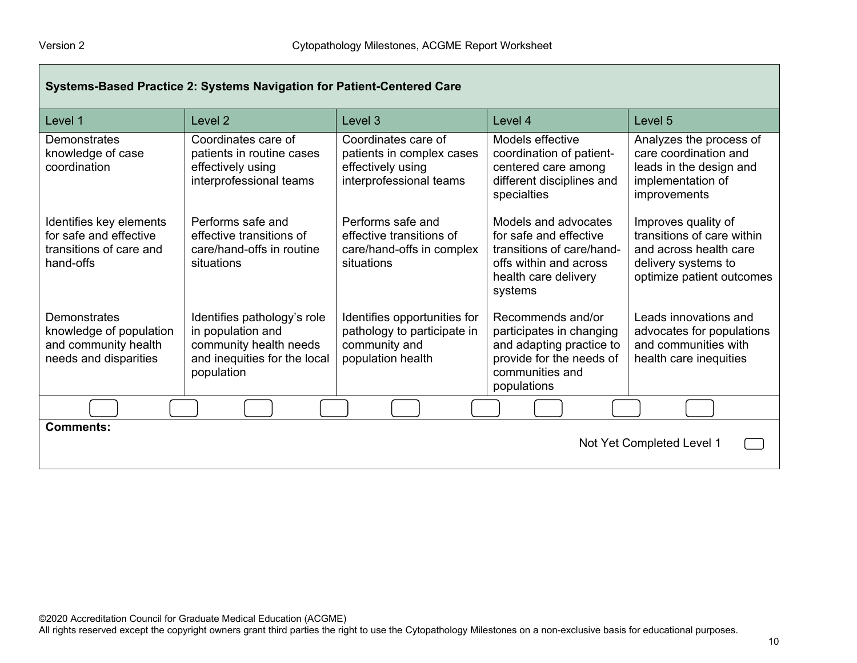Г

| Systems-Based Practice 2: Systems Navigation for Patient-Centered Care                    |                                                                                                                          |                                                                                                   |                                                                                                                                          |                                                                                                                                 |
|-------------------------------------------------------------------------------------------|--------------------------------------------------------------------------------------------------------------------------|---------------------------------------------------------------------------------------------------|------------------------------------------------------------------------------------------------------------------------------------------|---------------------------------------------------------------------------------------------------------------------------------|
| Level 1                                                                                   | Level 2                                                                                                                  | Level 3                                                                                           | Level 4                                                                                                                                  | Level 5                                                                                                                         |
| Demonstrates<br>knowledge of case<br>coordination                                         | Coordinates care of<br>patients in routine cases<br>effectively using<br>interprofessional teams                         | Coordinates care of<br>patients in complex cases<br>effectively using<br>interprofessional teams  | Models effective<br>coordination of patient-<br>centered care among<br>different disciplines and<br>specialties                          | Analyzes the process of<br>care coordination and<br>leads in the design and<br>implementation of<br>improvements                |
| Identifies key elements<br>for safe and effective<br>transitions of care and<br>hand-offs | Performs safe and<br>effective transitions of<br>care/hand-offs in routine<br>situations                                 | Performs safe and<br>effective transitions of<br>care/hand-offs in complex<br>situations          | Models and advocates<br>for safe and effective<br>transitions of care/hand-<br>offs within and across<br>health care delivery<br>systems | Improves quality of<br>transitions of care within<br>and across health care<br>delivery systems to<br>optimize patient outcomes |
| Demonstrates<br>knowledge of population<br>and community health<br>needs and disparities  | Identifies pathology's role<br>in population and<br>community health needs<br>and inequities for the local<br>population | Identifies opportunities for<br>pathology to participate in<br>community and<br>population health | Recommends and/or<br>participates in changing<br>and adapting practice to<br>provide for the needs of<br>communities and<br>populations  | Leads innovations and<br>advocates for populations<br>and communities with<br>health care inequities                            |
|                                                                                           |                                                                                                                          |                                                                                                   |                                                                                                                                          |                                                                                                                                 |
| <b>Comments:</b><br>Not Yet Completed Level 1                                             |                                                                                                                          |                                                                                                   |                                                                                                                                          |                                                                                                                                 |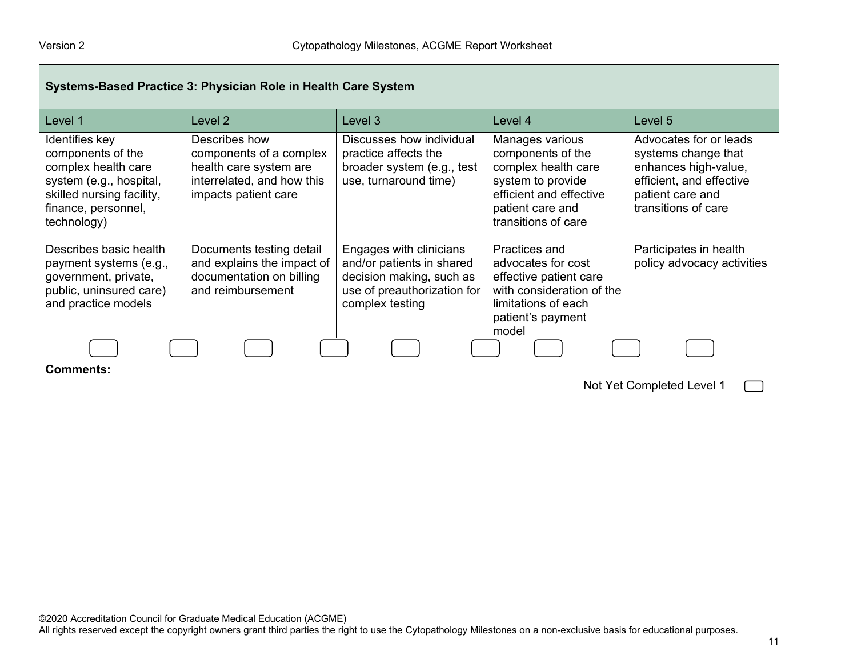$\overline{\phantom{0}}$ 

| Systems-Based Practice 3: Physician Role in Health Care System                                                                                           |                                                                                                                          |                                                                                                                                    |                                                                                                                                                        |                                                                                                                                              |  |
|----------------------------------------------------------------------------------------------------------------------------------------------------------|--------------------------------------------------------------------------------------------------------------------------|------------------------------------------------------------------------------------------------------------------------------------|--------------------------------------------------------------------------------------------------------------------------------------------------------|----------------------------------------------------------------------------------------------------------------------------------------------|--|
| Level 1                                                                                                                                                  | Level 2                                                                                                                  | Level 3                                                                                                                            | Level 4                                                                                                                                                | Level 5                                                                                                                                      |  |
| Identifies key<br>components of the<br>complex health care<br>system (e.g., hospital,<br>skilled nursing facility,<br>finance, personnel,<br>technology) | Describes how<br>components of a complex<br>health care system are<br>interrelated, and how this<br>impacts patient care | Discusses how individual<br>practice affects the<br>broader system (e.g., test<br>use, turnaround time)                            | Manages various<br>components of the<br>complex health care<br>system to provide<br>efficient and effective<br>patient care and<br>transitions of care | Advocates for or leads<br>systems change that<br>enhances high-value,<br>efficient, and effective<br>patient care and<br>transitions of care |  |
| Describes basic health<br>payment systems (e.g.,<br>government, private,<br>public, uninsured care)<br>and practice models                               | Documents testing detail<br>and explains the impact of<br>documentation on billing<br>and reimbursement                  | Engages with clinicians<br>and/or patients in shared<br>decision making, such as<br>use of preauthorization for<br>complex testing | Practices and<br>advocates for cost<br>effective patient care<br>with consideration of the<br>limitations of each<br>patient's payment<br>model        | Participates in health<br>policy advocacy activities                                                                                         |  |
|                                                                                                                                                          |                                                                                                                          |                                                                                                                                    |                                                                                                                                                        |                                                                                                                                              |  |
| <b>Comments:</b><br>Not Yet Completed Level 1                                                                                                            |                                                                                                                          |                                                                                                                                    |                                                                                                                                                        |                                                                                                                                              |  |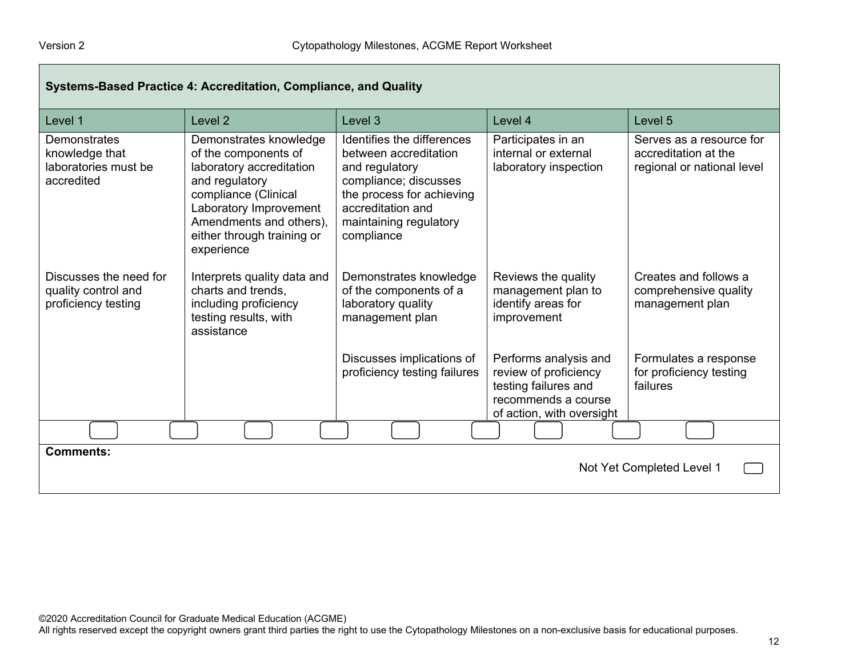$\Box$ 

| Systems-Based Practice 4: Accreditation, Compliance, and Quality     |                                                                                                                                                                                                                       |                                                                                                                                                                                          |                                                                                                                            |                                                                                |  |  |
|----------------------------------------------------------------------|-----------------------------------------------------------------------------------------------------------------------------------------------------------------------------------------------------------------------|------------------------------------------------------------------------------------------------------------------------------------------------------------------------------------------|----------------------------------------------------------------------------------------------------------------------------|--------------------------------------------------------------------------------|--|--|
| Level 1                                                              | Level <sub>2</sub>                                                                                                                                                                                                    | Level 3                                                                                                                                                                                  | Level 4                                                                                                                    | Level 5                                                                        |  |  |
| Demonstrates<br>knowledge that<br>laboratories must be<br>accredited | Demonstrates knowledge<br>of the components of<br>laboratory accreditation<br>and regulatory<br>compliance (Clinical<br>Laboratory Improvement<br>Amendments and others),<br>either through training or<br>experience | Identifies the differences<br>between accreditation<br>and regulatory<br>compliance; discusses<br>the process for achieving<br>accreditation and<br>maintaining regulatory<br>compliance | Participates in an<br>internal or external<br>laboratory inspection                                                        | Serves as a resource for<br>accreditation at the<br>regional or national level |  |  |
| Discusses the need for<br>quality control and<br>proficiency testing | Interprets quality data and<br>charts and trends,<br>including proficiency<br>testing results, with<br>assistance                                                                                                     | Demonstrates knowledge<br>of the components of a<br>laboratory quality<br>management plan                                                                                                | Reviews the quality<br>management plan to<br>identify areas for<br>improvement                                             | Creates and follows a<br>comprehensive quality<br>management plan              |  |  |
|                                                                      |                                                                                                                                                                                                                       | Discusses implications of<br>proficiency testing failures                                                                                                                                | Performs analysis and<br>review of proficiency<br>testing failures and<br>recommends a course<br>of action, with oversight | Formulates a response<br>for proficiency testing<br>failures                   |  |  |
|                                                                      |                                                                                                                                                                                                                       |                                                                                                                                                                                          |                                                                                                                            |                                                                                |  |  |
| <b>Comments:</b><br>Not Yet Completed Level 1                        |                                                                                                                                                                                                                       |                                                                                                                                                                                          |                                                                                                                            |                                                                                |  |  |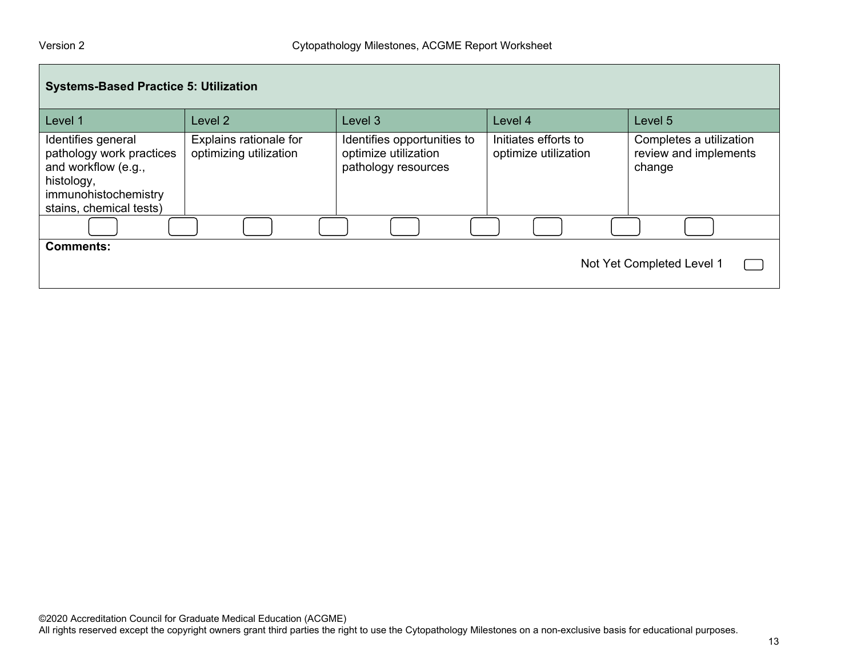| <b>Systems-Based Practice 5: Utilization</b>                                                                                           |                                                  |                                                                            |                                              |                                                            |  |  |
|----------------------------------------------------------------------------------------------------------------------------------------|--------------------------------------------------|----------------------------------------------------------------------------|----------------------------------------------|------------------------------------------------------------|--|--|
| Level 1                                                                                                                                | Level 2                                          | Level 3                                                                    | Level 4                                      | Level 5                                                    |  |  |
| Identifies general<br>pathology work practices<br>and workflow (e.g.,<br>histology,<br>immunohistochemistry<br>stains, chemical tests) | Explains rationale for<br>optimizing utilization | Identifies opportunities to<br>optimize utilization<br>pathology resources | Initiates efforts to<br>optimize utilization | Completes a utilization<br>review and implements<br>change |  |  |
|                                                                                                                                        |                                                  |                                                                            |                                              |                                                            |  |  |
| <b>Comments:</b><br>Not Yet Completed Level 1                                                                                          |                                                  |                                                                            |                                              |                                                            |  |  |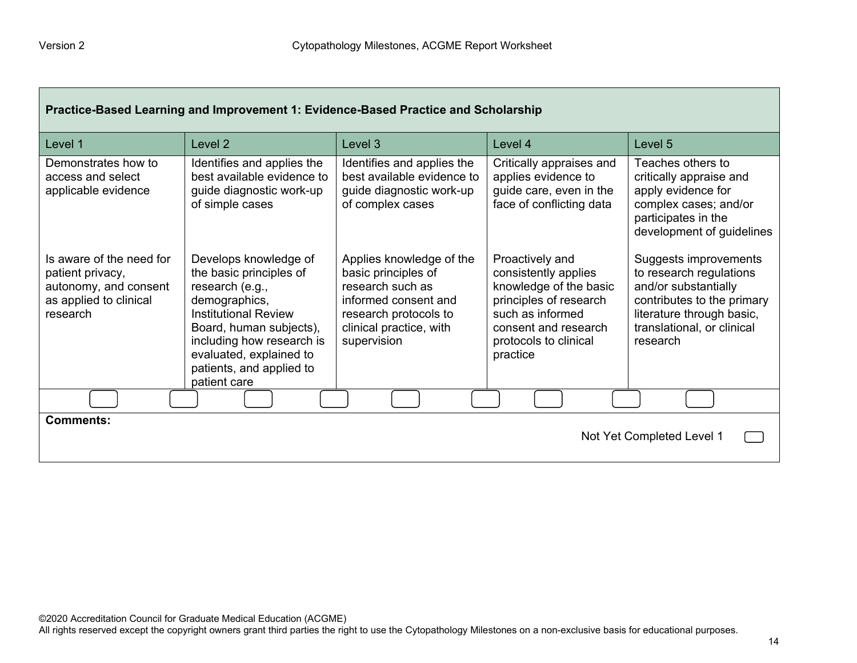$\Gamma$ 

| Practice-Based Learning and Improvement 1: Evidence-Based Practice and Scholarship                          |                                                                                                                                                                                                                                                    |                                                                                                                                                                |                                                                                                                                                                              |                                                                                                                                                                               |  |
|-------------------------------------------------------------------------------------------------------------|----------------------------------------------------------------------------------------------------------------------------------------------------------------------------------------------------------------------------------------------------|----------------------------------------------------------------------------------------------------------------------------------------------------------------|------------------------------------------------------------------------------------------------------------------------------------------------------------------------------|-------------------------------------------------------------------------------------------------------------------------------------------------------------------------------|--|
| Level 1                                                                                                     | Level <sub>2</sub>                                                                                                                                                                                                                                 | Level 3                                                                                                                                                        | Level 4                                                                                                                                                                      | Level 5                                                                                                                                                                       |  |
| Demonstrates how to<br>access and select<br>applicable evidence                                             | Identifies and applies the<br>best available evidence to<br>guide diagnostic work-up<br>of simple cases                                                                                                                                            | Identifies and applies the<br>best available evidence to<br>guide diagnostic work-up<br>of complex cases                                                       | Critically appraises and<br>applies evidence to<br>guide care, even in the<br>face of conflicting data                                                                       | Teaches others to<br>critically appraise and<br>apply evidence for<br>complex cases; and/or<br>participates in the<br>development of guidelines                               |  |
| Is aware of the need for<br>patient privacy,<br>autonomy, and consent<br>as applied to clinical<br>research | Develops knowledge of<br>the basic principles of<br>research (e.g.,<br>demographics,<br><b>Institutional Review</b><br>Board, human subjects),<br>including how research is<br>evaluated, explained to<br>patients, and applied to<br>patient care | Applies knowledge of the<br>basic principles of<br>research such as<br>informed consent and<br>research protocols to<br>clinical practice, with<br>supervision | Proactively and<br>consistently applies<br>knowledge of the basic<br>principles of research<br>such as informed<br>consent and research<br>protocols to clinical<br>practice | Suggests improvements<br>to research regulations<br>and/or substantially<br>contributes to the primary<br>literature through basic,<br>translational, or clinical<br>research |  |
|                                                                                                             |                                                                                                                                                                                                                                                    |                                                                                                                                                                |                                                                                                                                                                              |                                                                                                                                                                               |  |
| <b>Comments:</b><br>Not Yet Completed Level 1                                                               |                                                                                                                                                                                                                                                    |                                                                                                                                                                |                                                                                                                                                                              |                                                                                                                                                                               |  |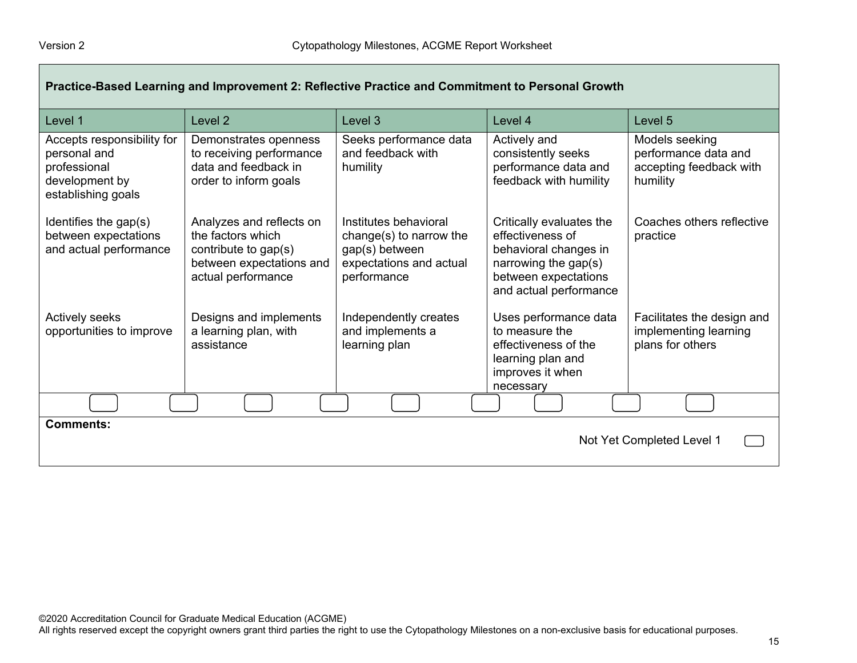| Practice-Based Learning and Improvement 2: Reflective Practice and Commitment to Personal Growth   |                                                                                                                         |                                                                                                              |                                                                                                                                                 |                                                                               |  |
|----------------------------------------------------------------------------------------------------|-------------------------------------------------------------------------------------------------------------------------|--------------------------------------------------------------------------------------------------------------|-------------------------------------------------------------------------------------------------------------------------------------------------|-------------------------------------------------------------------------------|--|
| Level 1                                                                                            | Level <sub>2</sub>                                                                                                      | Level 3                                                                                                      | Level 4                                                                                                                                         | Level 5                                                                       |  |
| Accepts responsibility for<br>personal and<br>professional<br>development by<br>establishing goals | Demonstrates openness<br>to receiving performance<br>data and feedback in<br>order to inform goals                      | Seeks performance data<br>and feedback with<br>humility                                                      | Actively and<br>consistently seeks<br>performance data and<br>feedback with humility                                                            | Models seeking<br>performance data and<br>accepting feedback with<br>humility |  |
| Identifies the gap(s)<br>between expectations<br>and actual performance                            | Analyzes and reflects on<br>the factors which<br>contribute to gap(s)<br>between expectations and<br>actual performance | Institutes behavioral<br>change(s) to narrow the<br>gap(s) between<br>expectations and actual<br>performance | Critically evaluates the<br>effectiveness of<br>behavioral changes in<br>narrowing the gap(s)<br>between expectations<br>and actual performance | Coaches others reflective<br>practice                                         |  |
| <b>Actively seeks</b><br>opportunities to improve                                                  | Designs and implements<br>a learning plan, with<br>assistance                                                           | Independently creates<br>and implements a<br>learning plan                                                   | Uses performance data<br>to measure the<br>effectiveness of the<br>learning plan and<br>improves it when<br>necessary                           | Facilitates the design and<br>implementing learning<br>plans for others       |  |
|                                                                                                    |                                                                                                                         |                                                                                                              |                                                                                                                                                 |                                                                               |  |
| <b>Comments:</b><br>Not Yet Completed Level 1                                                      |                                                                                                                         |                                                                                                              |                                                                                                                                                 |                                                                               |  |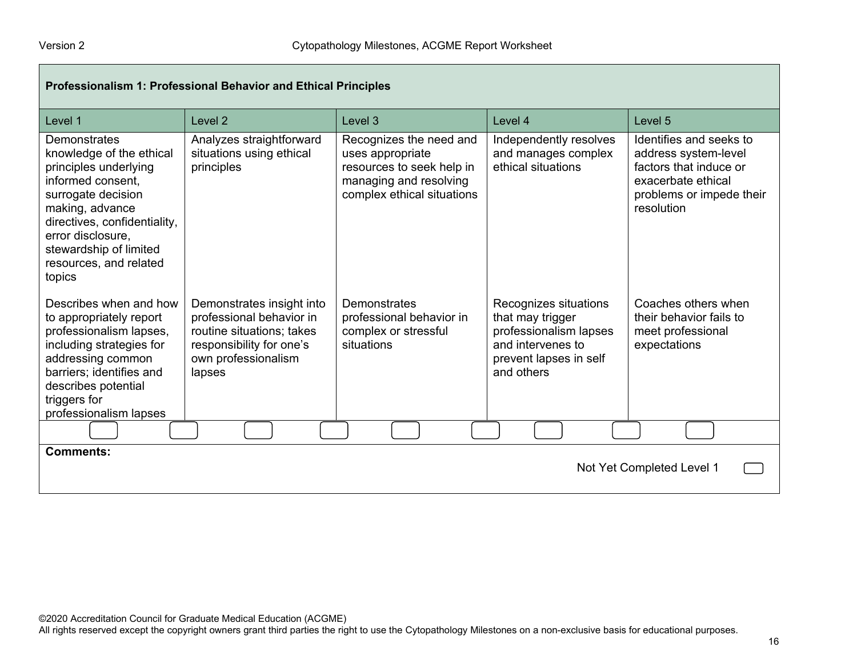| Professionalism 1: Professional Behavior and Ethical Principles                                                                                                                                                                                    |                                                                                                                                                 |                                                                                                                                  |                                                                                                                                  |                                                                                                                                           |  |  |
|----------------------------------------------------------------------------------------------------------------------------------------------------------------------------------------------------------------------------------------------------|-------------------------------------------------------------------------------------------------------------------------------------------------|----------------------------------------------------------------------------------------------------------------------------------|----------------------------------------------------------------------------------------------------------------------------------|-------------------------------------------------------------------------------------------------------------------------------------------|--|--|
| Level 1                                                                                                                                                                                                                                            | Level <sub>2</sub>                                                                                                                              | Level 3                                                                                                                          | Level 4                                                                                                                          | Level 5                                                                                                                                   |  |  |
| Demonstrates<br>knowledge of the ethical<br>principles underlying<br>informed consent,<br>surrogate decision<br>making, advance<br>directives, confidentiality,<br>error disclosure,<br>stewardship of limited<br>resources, and related<br>topics | Analyzes straightforward<br>situations using ethical<br>principles                                                                              | Recognizes the need and<br>uses appropriate<br>resources to seek help in<br>managing and resolving<br>complex ethical situations | Independently resolves<br>and manages complex<br>ethical situations                                                              | Identifies and seeks to<br>address system-level<br>factors that induce or<br>exacerbate ethical<br>problems or impede their<br>resolution |  |  |
| Describes when and how<br>to appropriately report<br>professionalism lapses,<br>including strategies for<br>addressing common<br>barriers; identifies and<br>describes potential<br>triggers for<br>professionalism lapses                         | Demonstrates insight into<br>professional behavior in<br>routine situations; takes<br>responsibility for one's<br>own professionalism<br>lapses | Demonstrates<br>professional behavior in<br>complex or stressful<br>situations                                                   | Recognizes situations<br>that may trigger<br>professionalism lapses<br>and intervenes to<br>prevent lapses in self<br>and others | Coaches others when<br>their behavior fails to<br>meet professional<br>expectations                                                       |  |  |
|                                                                                                                                                                                                                                                    |                                                                                                                                                 |                                                                                                                                  |                                                                                                                                  |                                                                                                                                           |  |  |
| <b>Comments:</b><br>Not Yet Completed Level 1                                                                                                                                                                                                      |                                                                                                                                                 |                                                                                                                                  |                                                                                                                                  |                                                                                                                                           |  |  |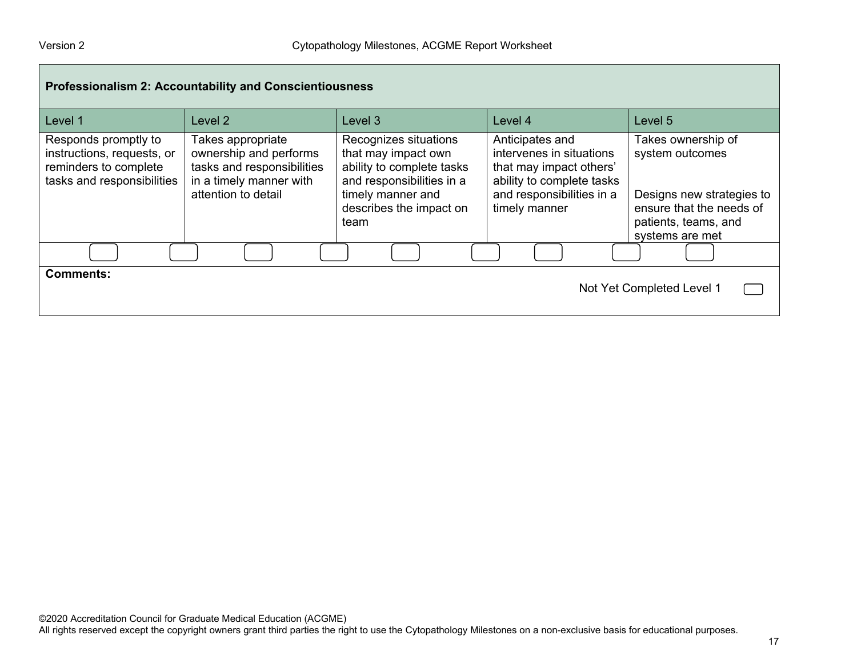| <b>Professionalism 2: Accountability and Conscientiousness</b>                                            |                                                                                                                             |                                                                                                                                                                |                                                                                                                                                   |                                                                                                                                           |  |  |
|-----------------------------------------------------------------------------------------------------------|-----------------------------------------------------------------------------------------------------------------------------|----------------------------------------------------------------------------------------------------------------------------------------------------------------|---------------------------------------------------------------------------------------------------------------------------------------------------|-------------------------------------------------------------------------------------------------------------------------------------------|--|--|
| Level 1                                                                                                   | Level 2                                                                                                                     | Level 3                                                                                                                                                        | Level 4                                                                                                                                           | Level 5                                                                                                                                   |  |  |
| Responds promptly to<br>instructions, requests, or<br>reminders to complete<br>tasks and responsibilities | Takes appropriate<br>ownership and performs<br>tasks and responsibilities<br>in a timely manner with<br>attention to detail | Recognizes situations<br>that may impact own<br>ability to complete tasks<br>and responsibilities in a<br>timely manner and<br>describes the impact on<br>team | Anticipates and<br>intervenes in situations<br>that may impact others'<br>ability to complete tasks<br>and responsibilities in a<br>timely manner | Takes ownership of<br>system outcomes<br>Designs new strategies to<br>ensure that the needs of<br>patients, teams, and<br>systems are met |  |  |
|                                                                                                           |                                                                                                                             |                                                                                                                                                                |                                                                                                                                                   |                                                                                                                                           |  |  |
| <b>Comments:</b><br>Not Yet Completed Level 1                                                             |                                                                                                                             |                                                                                                                                                                |                                                                                                                                                   |                                                                                                                                           |  |  |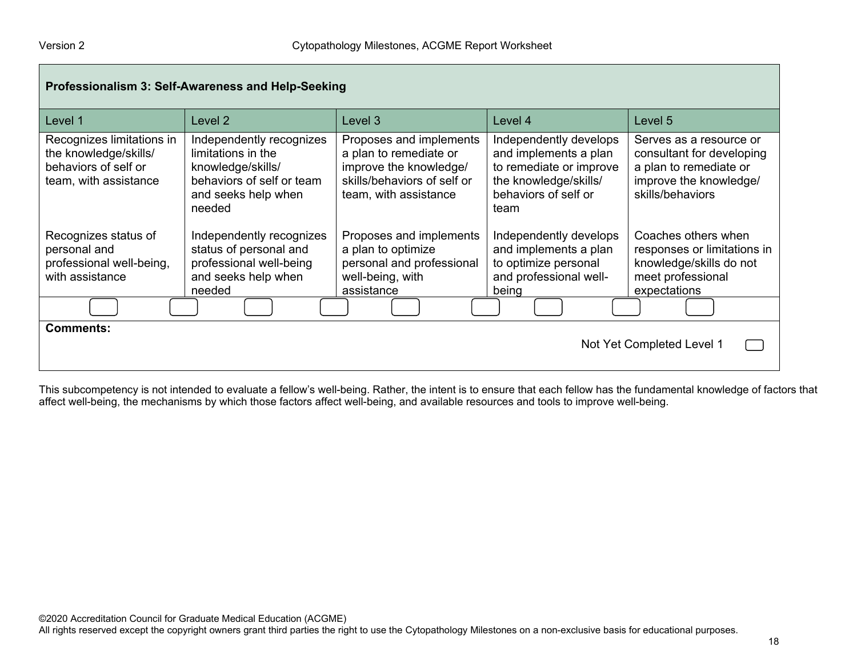| Professionalism 3: Self-Awareness and Help-Seeking                                                  |                                                                                                                                   |                                                                                                                                     |                                                                                                                                     |                                                                                                                              |  |  |
|-----------------------------------------------------------------------------------------------------|-----------------------------------------------------------------------------------------------------------------------------------|-------------------------------------------------------------------------------------------------------------------------------------|-------------------------------------------------------------------------------------------------------------------------------------|------------------------------------------------------------------------------------------------------------------------------|--|--|
| Level 1                                                                                             | Level 2                                                                                                                           | Level 3                                                                                                                             | Level 4                                                                                                                             | Level 5                                                                                                                      |  |  |
| Recognizes limitations in<br>the knowledge/skills/<br>behaviors of self or<br>team, with assistance | Independently recognizes<br>limitations in the<br>knowledge/skills/<br>behaviors of self or team<br>and seeks help when<br>needed | Proposes and implements<br>a plan to remediate or<br>improve the knowledge/<br>skills/behaviors of self or<br>team, with assistance | Independently develops<br>and implements a plan<br>to remediate or improve<br>the knowledge/skills/<br>behaviors of self or<br>team | Serves as a resource or<br>consultant for developing<br>a plan to remediate or<br>improve the knowledge/<br>skills/behaviors |  |  |
| Recognizes status of<br>personal and<br>professional well-being,<br>with assistance                 | Independently recognizes<br>status of personal and<br>professional well-being<br>and seeks help when<br>needed                    | Proposes and implements<br>a plan to optimize<br>personal and professional<br>well-being, with<br>assistance                        | Independently develops<br>and implements a plan<br>to optimize personal<br>and professional well-<br>being                          | Coaches others when<br>responses or limitations in<br>knowledge/skills do not<br>meet professional<br>expectations           |  |  |
|                                                                                                     |                                                                                                                                   |                                                                                                                                     |                                                                                                                                     |                                                                                                                              |  |  |
| <b>Comments:</b><br>Not Yet Completed Level 1                                                       |                                                                                                                                   |                                                                                                                                     |                                                                                                                                     |                                                                                                                              |  |  |

This subcompetency is not intended to evaluate a fellow's well-being. Rather, the intent is to ensure that each fellow has the fundamental knowledge of factors that affect well-being, the mechanisms by which those factors affect well-being, and available resources and tools to improve well-being.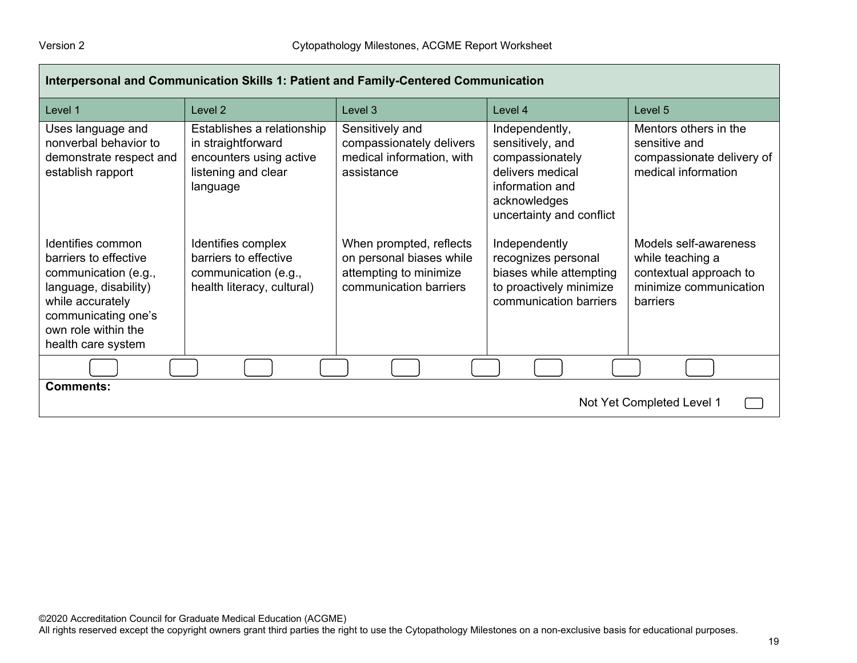| Interpersonal and Communication Skills 1: Patient and Family-Centered Communication                                                                                                 |                                                                                                                |                                                                                                         |                                                                                                                                          |                                                                                                           |  |  |
|-------------------------------------------------------------------------------------------------------------------------------------------------------------------------------------|----------------------------------------------------------------------------------------------------------------|---------------------------------------------------------------------------------------------------------|------------------------------------------------------------------------------------------------------------------------------------------|-----------------------------------------------------------------------------------------------------------|--|--|
| Level 1                                                                                                                                                                             | Level 2                                                                                                        | Level <sub>3</sub>                                                                                      | Level 4                                                                                                                                  | Level 5                                                                                                   |  |  |
| Uses language and<br>nonverbal behavior to<br>demonstrate respect and<br>establish rapport                                                                                          | Establishes a relationship<br>in straightforward<br>encounters using active<br>listening and clear<br>language | Sensitively and<br>compassionately delivers<br>medical information, with<br>assistance                  | Independently,<br>sensitively, and<br>compassionately<br>delivers medical<br>information and<br>acknowledges<br>uncertainty and conflict | Mentors others in the<br>sensitive and<br>compassionate delivery of<br>medical information                |  |  |
| Identifies common<br>barriers to effective<br>communication (e.g.,<br>language, disability)<br>while accurately<br>communicating one's<br>own role within the<br>health care system | Identifies complex<br>barriers to effective<br>communication (e.g.,<br>health literacy, cultural)              | When prompted, reflects<br>on personal biases while<br>attempting to minimize<br>communication barriers | Independently<br>recognizes personal<br>biases while attempting<br>to proactively minimize<br>communication barriers                     | Models self-awareness<br>while teaching a<br>contextual approach to<br>minimize communication<br>barriers |  |  |
|                                                                                                                                                                                     |                                                                                                                |                                                                                                         |                                                                                                                                          |                                                                                                           |  |  |
| <b>Comments:</b><br>Not Yet Completed Level 1                                                                                                                                       |                                                                                                                |                                                                                                         |                                                                                                                                          |                                                                                                           |  |  |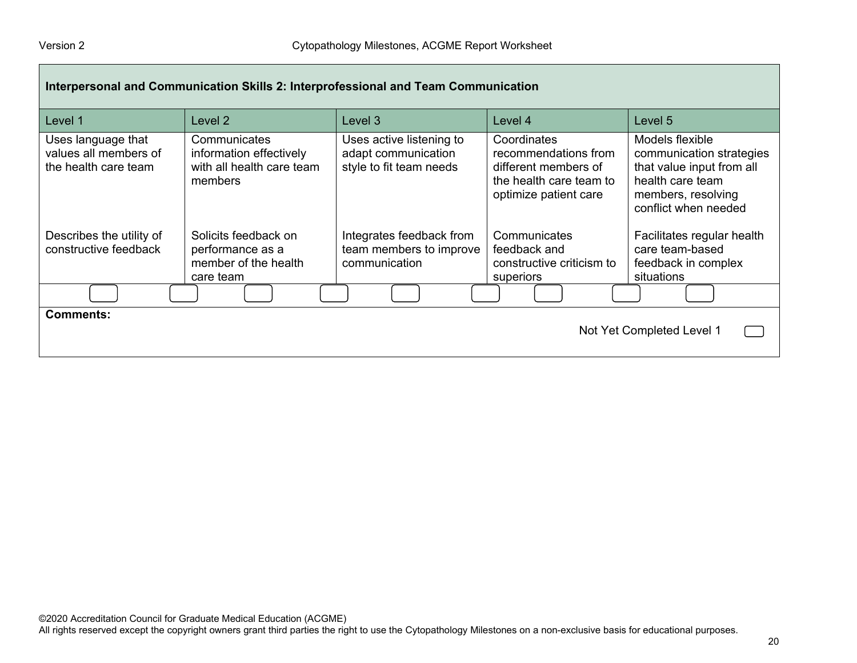| Interpersonal and Communication Skills 2: Interprofessional and Team Communication |                                                                                 |                                                                            |                                                                                                                 |                                                                                                                                            |  |  |
|------------------------------------------------------------------------------------|---------------------------------------------------------------------------------|----------------------------------------------------------------------------|-----------------------------------------------------------------------------------------------------------------|--------------------------------------------------------------------------------------------------------------------------------------------|--|--|
| Level 1                                                                            | Level 2                                                                         | Level 3                                                                    | Level 4                                                                                                         | Level 5                                                                                                                                    |  |  |
| Uses language that<br>values all members of<br>the health care team                | Communicates<br>information effectively<br>with all health care team<br>members | Uses active listening to<br>adapt communication<br>style to fit team needs | Coordinates<br>recommendations from<br>different members of<br>the health care team to<br>optimize patient care | Models flexible<br>communication strategies<br>that value input from all<br>health care team<br>members, resolving<br>conflict when needed |  |  |
| Describes the utility of<br>constructive feedback                                  | Solicits feedback on<br>performance as a<br>member of the health<br>care team   | Integrates feedback from<br>team members to improve<br>communication       | Communicates<br>feedback and<br>constructive criticism to<br>superiors                                          | Facilitates regular health<br>care team-based<br>feedback in complex<br>situations                                                         |  |  |
|                                                                                    |                                                                                 |                                                                            |                                                                                                                 |                                                                                                                                            |  |  |
| <b>Comments:</b><br>Not Yet Completed Level 1                                      |                                                                                 |                                                                            |                                                                                                                 |                                                                                                                                            |  |  |